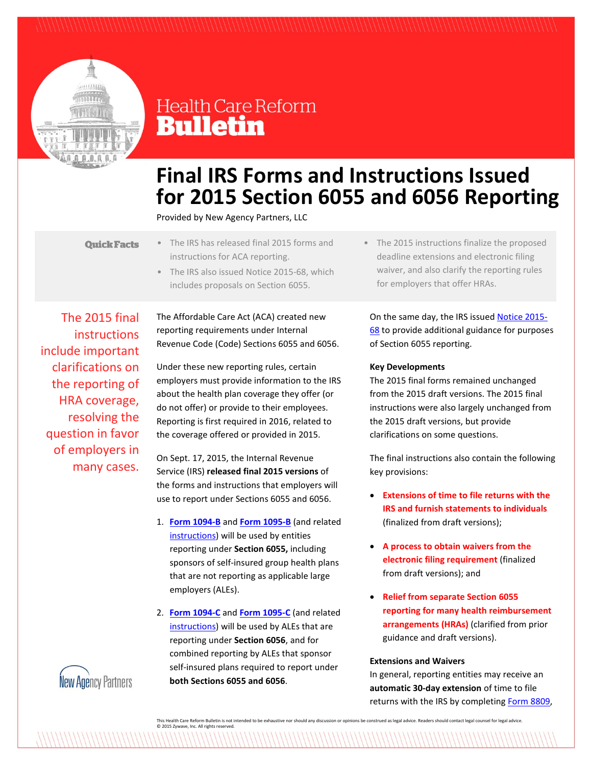

## **Health Care Reform Bulletin**

# **Final IRS Forms and Instructions Issued for 2015 Section 6055 and 6056 Reporting**

Provided by New Agency Partners, LLC

- **Quick Facts**
- The IRS has released final 2015 forms and instructions for ACA reporting.
	- The IRS also issued Notice 2015-68, which includes proposals on Section 6055.

The 2015 final instructions include important clarifications on the reporting of HRA coverage, resolving the question in favor of employers in many cases.

The Affordable Care Act (ACA) created new reporting requirements under Internal Revenue Code (Code) Sections 6055 and 6056.

Under these new reporting rules, certain employers must provide information to the IRS about the health plan coverage they offer (or do not offer) or provide to their employees. Reporting is first required in 2016, related to the coverage offered or provided in 2015.

On Sept. 17, 2015, the Internal Revenue Service (IRS) **released final 2015 versions** of the forms and instructions that employers will use to report under Sections 6055 and 6056.

- 1. **[Form 1094-B](http://www.irs.gov/pub/irs-pdf/f1094b.pdf)** and **[Form 1095-B](http://www.irs.gov/pub/irs-pdf/f1095b.pdf)** (and related [instructions\)](http://www.irs.gov/pub/irs-pdf/i109495b.pdf) will be used by entities reporting under **Section 6055,** including sponsors of self-insured group health plans that are not reporting as applicable large employers (ALEs).
- 2. **[Form 1094-C](http://www.irs.gov/pub/irs-pdf/f1094c.pdf)** and **[Form 1095-C](http://www.irs.gov/pub/irs-pdf/f1095c.pdf)** (and related [instructions\)](http://www.irs.gov/pub/irs-pdf/i109495c.pdf) will be used by ALEs that are reporting under **Section 6056**, and for combined reporting by ALEs that sponsor self-insured plans required to report under **both Sections 6055 and 6056**.

• The 2015 instructions finalize the proposed deadline extensions and electronic filing waiver, and also clarify the reporting rules for employers that offer HRAs.

On the same day, the IRS issued [Notice 2015-](http://www.irs.gov/pub/irs-drop/n-15-68.pdf) [68](http://www.irs.gov/pub/irs-drop/n-15-68.pdf) to provide additional guidance for purposes of Section 6055 reporting.

## **Key Developments**

The 2015 final forms remained unchanged from the 2015 draft versions. The 2015 final instructions were also largely unchanged from the 2015 draft versions, but provide clarifications on some questions.

The final instructions also contain the following key provisions:

- **Extensions of time to file returns with the IRS and furnish statements to individuals** (finalized from draft versions);
- **A process to obtain waivers from the electronic filing requirement** (finalized from draft versions); and
- **Relief from separate Section 6055 reporting for many health reimbursement arrangements (HRAs)** (clarified from prior guidance and draft versions).

### **Extensions and Waivers**

In general, reporting entities may receive an **automatic 30-day extension** of time to file returns with the IRS by completin[g Form 8809,](http://www.irs.gov/uac/Form-8809,-Application-for-Extension-of-Time-To-File-Information-Returns)



This Health Care Reform Bulletin is not intended to be exhaustive nor should any discussion or opinions be construed as legal advice. Readers should contact legal counsel for legal advice. © 2015 Zywave, Inc. All rights reserved.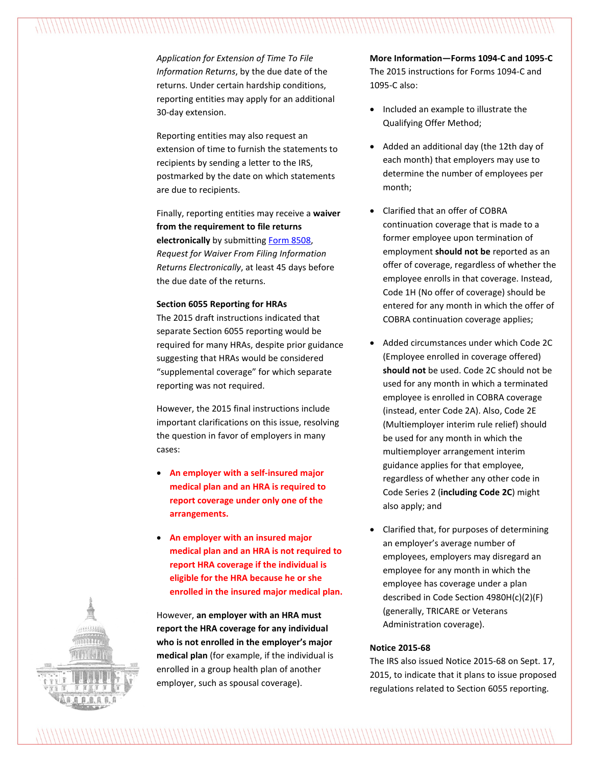*Application for Extension of Time To File Information Returns*, by the due date of the returns. Under certain hardship conditions, reporting entities may apply for an additional 30-day extension.

Reporting entities may also request an extension of time to furnish the statements to recipients by sending a letter to the IRS, postmarked by the date on which statements are due to recipients.

Finally, reporting entities may receive a **waiver from the requirement to file returns electronically** by submitting [Form 8508,](http://www.irs.gov/pub/irs-pdf/f8508.pdf) *Request for Waiver From Filing Information Returns Electronically*, at least 45 days before the due date of the returns.

### **Section 6055 Reporting for HRAs**

The 2015 draft instructions indicated that separate Section 6055 reporting would be required for many HRAs, despite prior guidance suggesting that HRAs would be considered "supplemental coverage" for which separate reporting was not required.

However, the 2015 final instructions include important clarifications on this issue, resolving the question in favor of employers in many cases:

- **An employer with a self-insured major medical plan and an HRA is required to report coverage under only one of the arrangements.**
- **An employer with an insured major medical plan and an HRA is not required to report HRA coverage if the individual is eligible for the HRA because he or she enrolled in the insured major medical plan.**

However, **an employer with an HRA must report the HRA coverage for any individual who is not enrolled in the employer's major medical plan** (for example, if the individual is enrolled in a group health plan of another employer, such as spousal coverage).

**More Information—Forms 1094-C and 1095-C** The 2015 instructions for Forms 1094-C and 1095-C also:

- Included an example to illustrate the Qualifying Offer Method;
- Added an additional day (the 12th day of each month) that employers may use to determine the number of employees per month;
- Clarified that an offer of COBRA continuation coverage that is made to a former employee upon termination of employment **should not be** reported as an offer of coverage, regardless of whether the employee enrolls in that coverage. Instead, Code 1H (No offer of coverage) should be entered for any month in which the offer of COBRA continuation coverage applies;
- Added circumstances under which Code 2C (Employee enrolled in coverage offered) **should not** be used. Code 2C should not be used for any month in which a terminated employee is enrolled in COBRA coverage (instead, enter Code 2A). Also, Code 2E (Multiemployer interim rule relief) should be used for any month in which the multiemployer arrangement interim guidance applies for that employee, regardless of whether any other code in Code Series 2 (**including Code 2C**) might also apply; and
- Clarified that, for purposes of determining an employer's average number of employees, employers may disregard an employee for any month in which the employee has coverage under a plan described in Code Section 4980H(c)(2)(F) (generally, TRICARE or Veterans Administration coverage).

### **Notice 2015-68**

The IRS also issued Notice 2015-68 on Sept. 17, 2015, to indicate that it plans to issue proposed regulations related to Section 6055 reporting.